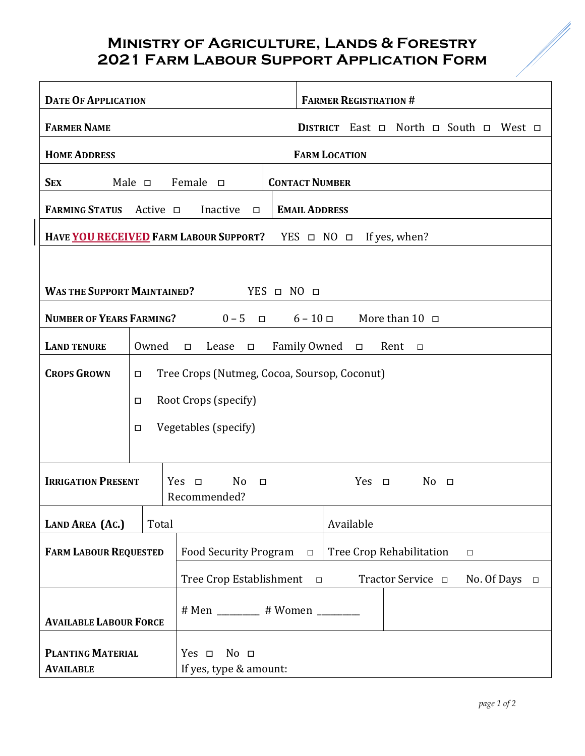## **Ministry of Agriculture, Lands & Forestry 2021 Farm Labour Support Application Form**

| <b>DATE OF APPLICATION</b>                                                             |                                                                        |                                                        |                                                          | <b>FARMER REGISTRATION #</b>                               |  |  |  |  |  |
|----------------------------------------------------------------------------------------|------------------------------------------------------------------------|--------------------------------------------------------|----------------------------------------------------------|------------------------------------------------------------|--|--|--|--|--|
| <b>FARMER NAME</b>                                                                     |                                                                        |                                                        |                                                          | DISTRICT East $\Box$ North $\Box$ South $\Box$ West $\Box$ |  |  |  |  |  |
| <b>FARM LOCATION</b><br><b>HOME ADDRESS</b>                                            |                                                                        |                                                        |                                                          |                                                            |  |  |  |  |  |
| <b>SEX</b>                                                                             | $Male$ $\Box$                                                          | Female $\Box$                                          |                                                          | <b>CONTACT NUMBER</b>                                      |  |  |  |  |  |
| <b>FARMING STATUS</b>                                                                  | Active $\square$                                                       | Inactive<br>$\Box$                                     | <b>EMAIL ADDRESS</b>                                     |                                                            |  |  |  |  |  |
| HAVE YOU RECEIVED FARM LABOUR SUPPORT?<br>If yes, when?<br>$YES$ $\Box$ $NO$ $\Box$    |                                                                        |                                                        |                                                          |                                                            |  |  |  |  |  |
|                                                                                        |                                                                        |                                                        |                                                          |                                                            |  |  |  |  |  |
| <b>WAS THE SUPPORT MAINTAINED?</b><br>$YES$ $\Box$ $NO$ $\Box$                         |                                                                        |                                                        |                                                          |                                                            |  |  |  |  |  |
| <b>NUMBER OF YEARS FARMING?</b><br>$0-5$ $\Box$<br>$6 - 10 =$<br>More than $10$ $\Box$ |                                                                        |                                                        |                                                          |                                                            |  |  |  |  |  |
| <b>LAND TENURE</b>                                                                     | Owned<br>Family Owned □<br>Lease<br>Rent<br>$\Box$<br>$\Box$<br>$\Box$ |                                                        |                                                          |                                                            |  |  |  |  |  |
| <b>CROPS GROWN</b>                                                                     | Tree Crops (Nutmeg, Cocoa, Soursop, Coconut)<br>□                      |                                                        |                                                          |                                                            |  |  |  |  |  |
|                                                                                        | Root Crops (specify)<br>$\Box$                                         |                                                        |                                                          |                                                            |  |  |  |  |  |
|                                                                                        | Vegetables (specify)<br>$\Box$                                         |                                                        |                                                          |                                                            |  |  |  |  |  |
|                                                                                        |                                                                        |                                                        |                                                          |                                                            |  |  |  |  |  |
| <b>IRRIGATION PRESENT</b>                                                              |                                                                        | $Yes \Box$<br>N <sub>o</sub><br>$\Box$<br>Recommended? |                                                          | $Yes \Box$<br>$No$ $\Box$                                  |  |  |  |  |  |
| <b>LAND AREA (AC.)</b>                                                                 | Total                                                                  |                                                        |                                                          | Available                                                  |  |  |  |  |  |
| <b>FARM LABOUR REQUESTED</b>                                                           |                                                                        | <b>Food Security Program</b><br>$\Box$                 |                                                          | Tree Crop Rehabilitation<br>$\Box$                         |  |  |  |  |  |
|                                                                                        |                                                                        | Tree Crop Establishment                                | Tractor Service <b>D</b><br>No. Of Days $\Box$<br>$\Box$ |                                                            |  |  |  |  |  |
|                                                                                        |                                                                        | # Men _______ # Women ______                           |                                                          |                                                            |  |  |  |  |  |
| <b>AVAILABLE LABOUR FORCE</b>                                                          |                                                                        |                                                        |                                                          |                                                            |  |  |  |  |  |
| <b>PLANTING MATERIAL</b>                                                               |                                                                        | No <sub>1</sub><br>$Yes \Box$                          |                                                          |                                                            |  |  |  |  |  |
| <b>AVAILABLE</b>                                                                       |                                                                        | If yes, type & amount:                                 |                                                          |                                                            |  |  |  |  |  |